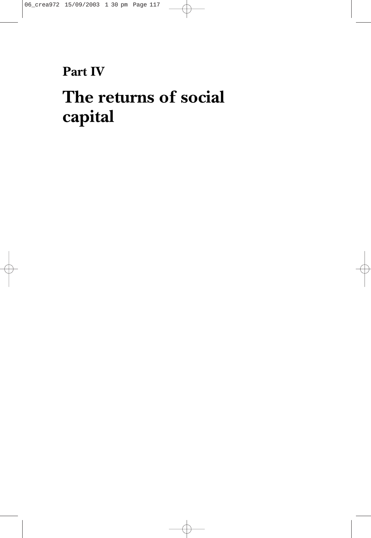# **Part IV**

# **The returns of social capital**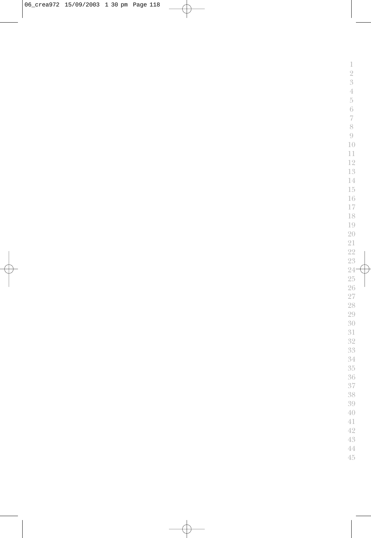╤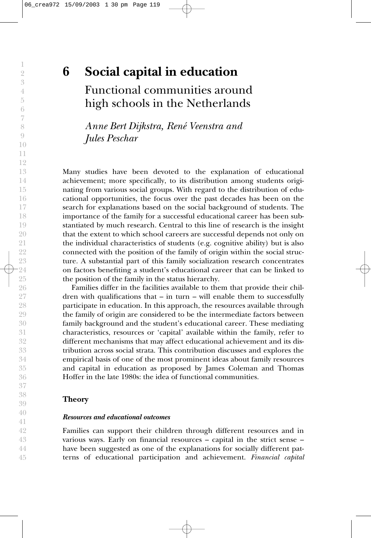# **6 Social capital in education**

# Functional communities around high schools in the Netherlands

*Anne Bert Dijkstra, René Veenstra and Jules Peschar*

Many studies have been devoted to the explanation of educational achievement; more specifically, to its distribution among students originating from various social groups. With regard to the distribution of educational opportunities, the focus over the past decades has been on the search for explanations based on the social background of students. The importance of the family for a successful educational career has been substantiated by much research. Central to this line of research is the insight that the extent to which school careers are successful depends not only on the individual characteristics of students (e.g. cognitive ability) but is also connected with the position of the family of origin within the social structure. A substantial part of this family socialization research concentrates on factors benefiting a student's educational career that can be linked to the position of the family in the status hierarchy.

Families differ in the facilities available to them that provide their children with qualifications that – in turn – will enable them to successfully participate in education. In this approach, the resources available through the family of origin are considered to be the intermediate factors between family background and the student's educational career. These mediating characteristics, resources or 'capital' available within the family, refer to different mechanisms that may affect educational achievement and its distribution across social strata. This contribution discusses and explores the empirical basis of one of the most prominent ideas about family resources and capital in education as proposed by James Coleman and Thomas Hoffer in the late 1980s: the idea of functional communities.

## **Theory**

#### *Resources and educational outcomes*

Families can support their children through different resources and in various ways. Early on financial resources – capital in the strict sense – have been suggested as one of the explanations for socially different patterns of educational participation and achievement. *Financial capital*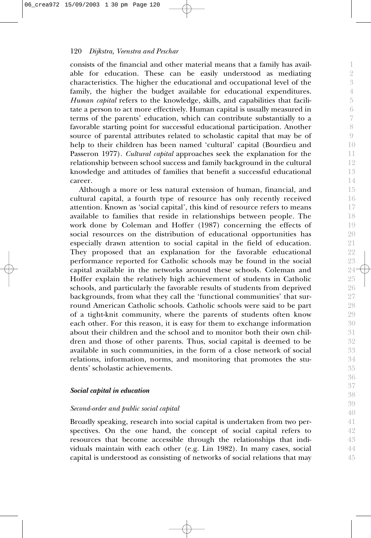consists of the financial and other material means that a family has available for education. These can be easily understood as mediating characteristics. The higher the educational and occupational level of the family, the higher the budget available for educational expenditures. *Human capital* refers to the knowledge, skills, and capabilities that facilitate a person to act more effectively. Human capital is usually measured in terms of the parents' education, which can contribute substantially to a favorable starting point for successful educational participation. Another source of parental attributes related to scholastic capital that may be of help to their children has been named 'cultural' capital (Bourdieu and Passeron 1977). *Cultural capital* approaches seek the explanation for the relationship between school success and family background in the cultural knowledge and attitudes of families that benefit a successful educational career.

Although a more or less natural extension of human, financial, and cultural capital, a fourth type of resource has only recently received attention. Known as 'social capital', this kind of resource refers to means available to families that reside in relationships between people. The work done by Coleman and Hoffer (1987) concerning the effects of social resources on the distribution of educational opportunities has especially drawn attention to social capital in the field of education. They proposed that an explanation for the favorable educational performance reported for Catholic schools may be found in the social capital available in the networks around these schools. Coleman and Hoffer explain the relatively high achievement of students in Catholic schools, and particularly the favorable results of students from deprived backgrounds, from what they call the 'functional communities' that surround American Catholic schools. Catholic schools were said to be part of a tight-knit community, where the parents of students often know each other. For this reason, it is easy for them to exchange information about their children and the school and to monitor both their own children and those of other parents. Thus, social capital is deemed to be available in such communities, in the form of a close network of social relations, information, norms, and monitoring that promotes the students' scholastic achievements.

#### *Social capital in education*

#### *Second-order and public social capital*

Broadly speaking, research into social capital is undertaken from two perspectives. On the one hand, the concept of social capital refers to resources that become accessible through the relationships that individuals maintain with each other (e.g. Lin 1982). In many cases, social capital is understood as consisting of networks of social relations that may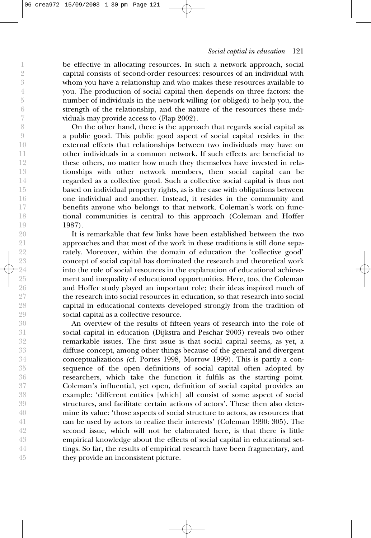# *Social captial in education* 121

be effective in allocating resources. In such a network approach, social capital consists of second-order resources: resources of an individual with whom you have a relationship and who makes these resources available to you. The production of social capital then depends on three factors: the number of individuals in the network willing (or obliged) to help you, the strength of the relationship, and the nature of the resources these individuals may provide access to (Flap 2002).

On the other hand, there is the approach that regards social capital as a public good. This public good aspect of social capital resides in the external effects that relationships between two individuals may have on other individuals in a common network. If such effects are beneficial to these others, no matter how much they themselves have invested in relationships with other network members, then social capital can be regarded as a collective good. Such a collective social capital is thus not based on individual property rights, as is the case with obligations between one individual and another. Instead, it resides in the community and benefits anyone who belongs to that network. Coleman's work on functional communities is central to this approach (Coleman and Hoffer 1987).

It is remarkable that few links have been established between the two approaches and that most of the work in these traditions is still done separately. Moreover, within the domain of education the 'collective good' concept of social capital has dominated the research and theoretical work into the role of social resources in the explanation of educational achievement and inequality of educational opportunities. Here, too, the Coleman and Hoffer study played an important role; their ideas inspired much of the research into social resources in education, so that research into social capital in educational contexts developed strongly from the tradition of social capital as a collective resource.

An overview of the results of fifteen years of research into the role of social capital in education (Dijkstra and Peschar 2003) reveals two other remarkable issues. The first issue is that social capital seems, as yet, a diffuse concept, among other things because of the general and divergent conceptualizations *(*cf*.* Portes 1998, Morrow 1999). This is partly a consequence of the open definitions of social capital often adopted by researchers, which take the function it fulfils as the starting point. Coleman's influential, yet open, definition of social capital provides an example: 'different entities [which] all consist of some aspect of social structures, and facilitate certain actions of actors'. These then also determine its value: 'those aspects of social structure to actors, as resources that can be used by actors to realize their interests' (Coleman 1990: 305). The second issue, which will not be elaborated here, is that there is little empirical knowledge about the effects of social capital in educational settings. So far, the results of empirical research have been fragmentary, and they provide an inconsistent picture.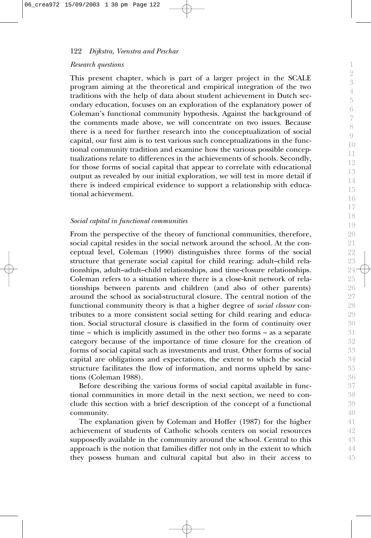#### *Research questions*

This present chapter, which is part of a larger project in the SCALE program aiming at the theoretical and empirical integration of the two traditions with the help of data about student achievement in Dutch secondary education, focuses on an exploration of the explanatory power of Coleman's functional community hypothesis. Against the background of the comments made above, we will concentrate on two issues. Because there is a need for further research into the conceptualization of social capital, our first aim is to test various such conceptualizations in the functional community tradition and examine how the various possible conceptualizations relate to differences in the achievements of schools. Secondly, for those forms of social capital that appear to correlate with educational output as revealed by our initial exploration, we will test in more detail if there is indeed empirical evidence to support a relationship with educational achievement.

#### *Social capital in functional communities*

From the perspective of the theory of functional communities, therefore, social capital resides in the social network around the school. At the conceptual level, Coleman (1990) distinguishes three forms of the social structure that generate social capital for child rearing: adult–child relationships, adult–adult–child relationships, and time-closure relationships. Coleman refers to a situation where there is a close-knit network of relationships between parents and children (and also of other parents) around the school as social-structural closure. The central notion of the functional community theory is that a higher degree of *social closure* contributes to a more consistent social setting for child rearing and education. Social structural closure is classified in the form of continuity over time – which is implicitly assumed in the other two forms – as a separate category because of the importance of time closure for the creation of forms of social capital such as investments and trust. Other forms of social capital are obligations and expectations, the extent to which the social structure facilitates the flow of information, and norms upheld by sanctions (Coleman 1988).

Before describing the various forms of social capital available in functional communities in more detail in the next section, we need to conclude this section with a brief description of the concept of a functional community.

The explanation given by Coleman and Hoffer (1987) for the higher achievement of students of Catholic schools centers on social resources supposedly available in the community around the school. Central to this approach is the notion that families differ not only in the extent to which they possess human and cultural capital but also in their access to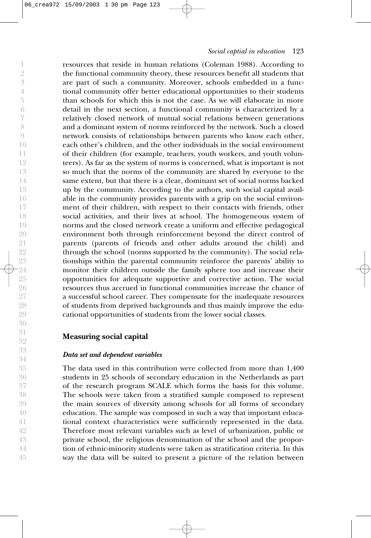# *Social captial in education* 123

resources that reside in human relations (Coleman 1988). According to the functional community theory, these resources benefit all students that are part of such a community. Moreover, schools embedded in a functional community offer better educational opportunities to their students than schools for which this is not the case. As we will elaborate in more detail in the next section, a functional community is characterized by a relatively closed network of mutual social relations between generations and a dominant system of norms reinforced by the network. Such a closed network consists of relationships between parents who know each other, each other's children, and the other individuals in the social environment of their children (for example, teachers, youth workers, and youth volunteers). As far as the system of norms is concerned, what is important is not so much that the norms of the community are shared by everyone to the same extent, but that there is a clear, dominant set of social norms backed up by the community. According to the authors, such social capital available in the community provides parents with a grip on the social environment of their children, with respect to their contacts with friends, other social activities, and their lives at school. The homogeneous system of norms and the closed network create a uniform and effective pedagogical environment both through reinforcement beyond the direct control of parents (parents of friends and other adults around the child) and through the school (norms supported by the community). The social relationships within the parental community reinforce the parents' ability to monitor their children outside the family sphere too and increase their opportunities for adequate supportive and corrective action. The social resources thus accrued in functional communities increase the chance of a successful school career. They compensate for the inadequate resources of students from deprived backgrounds and thus mainly improve the educational opportunities of students from the lower social classes.

# **Measuring social capital**

## *Data set and dependent variables*

The data used in this contribution were collected from more than 1,400 students in 25 schools of secondary education in the Netherlands as part of the research program SCALE which forms the basis for this volume. The schools were taken from a stratified sample composed to represent the main sources of diversity among schools for all forms of secondary education. The sample was composed in such a way that important educational context characteristics were sufficiently represented in the data. Therefore most relevant variables such as level of urbanization, public or private school, the religious denomination of the school and the proportion of ethnic-minority students were taken as stratification criteria. In this way the data will be suited to present a picture of the relation between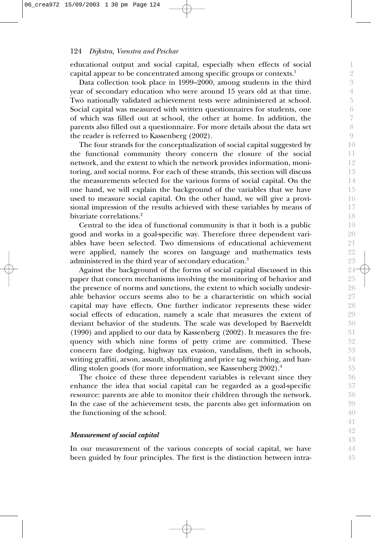educational output and social capital, especially when effects of social capital appear to be concentrated among specific groups or contexts.<sup>1</sup>

Data collection took place in 1999–2000, among students in the third year of secondary education who were around 15 years old at that time. Two nationally validated achievement tests were administered at school. Social capital was measured with written questionnaires for students, one of which was filled out at school, the other at home. In addition, the parents also filled out a questionnaire. For more details about the data set the reader is referred to Kassenberg (2002).

The four strands for the conceptualization of social capital suggested by the functional community theory concern the closure of the social network, and the extent to which the network provides information, monitoring, and social norms. For each of these strands, this section will discuss the measurements selected for the various forms of social capital. On the one hand, we will explain the background of the variables that we have used to measure social capital. On the other hand, we will give a provisional impression of the results achieved with these variables by means of bivariate correlations.<sup>2</sup>

Central to the idea of functional community is that it both is a public good and works in a goal-specific way. Therefore three dependent variables have been selected. Two dimensions of educational achievement were applied, namely the scores on language and mathematics tests administered in the third year of secondary education.<sup>3</sup>

Against the background of the forms of social capital discussed in this paper that concern mechanisms involving the monitoring of behavior and the presence of norms and sanctions, the extent to which socially undesirable behavior occurs seems also to be a characteristic on which social capital may have effects. One further indicator represents these wider social effects of education, namely a scale that measures the extent of deviant behavior of the students. The scale was developed by Baerveldt (1990) and applied to our data by Kassenberg (2002). It measures the frequency with which nine forms of petty crime are committed. These concern fare dodging, highway tax evasion, vandalism, theft in schools, writing graffiti, arson, assault, shoplifting and price tag switching, and handling stolen goods (for more information, see Kassenberg 2002).4

The choice of these three dependent variables is relevant since they enhance the idea that social capital can be regarded as a goal-specific resource: parents are able to monitor their children through the network. In the case of the achievement tests, the parents also get information on the functioning of the school.

#### *Measurement of social capital*

In our measurement of the various concepts of social capital, we have been guided by four principles. The first is the distinction between intra-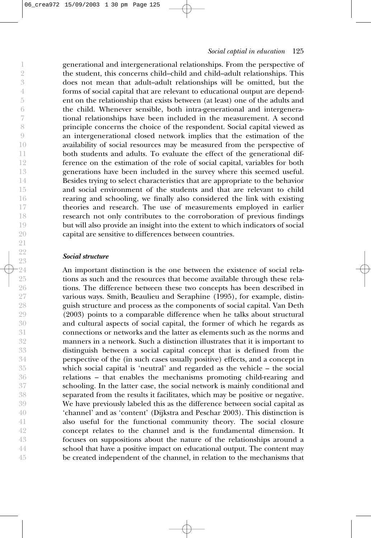#### *Social captial in education* 125

generational and intergenerational relationships. From the perspective of the student, this concerns child–child and child–adult relationships. This does not mean that adult–adult relationships will be omitted, but the forms of social capital that are relevant to educational output are dependent on the relationship that exists between (at least) one of the adults and the child. Whenever sensible, both intra-generational and intergenerational relationships have been included in the measurement. A second principle concerns the choice of the respondent. Social capital viewed as an intergenerational closed network implies that the estimation of the availability of social resources may be measured from the perspective of both students and adults. To evaluate the effect of the generational difference on the estimation of the role of social capital, variables for both generations have been included in the survey where this seemed useful. Besides trying to select characteristics that are appropriate to the behavior and social environment of the students and that are relevant to child rearing and schooling, we finally also considered the link with existing theories and research. The use of measurements employed in earlier research not only contributes to the corroboration of previous findings but will also provide an insight into the extent to which indicators of social capital are sensitive to differences between countries.

#### *Social structure*

An important distinction is the one between the existence of social relations as such and the resources that become available through these relations. The difference between these two concepts has been described in various ways. Smith, Beaulieu and Seraphine (1995), for example, distinguish structure and process as the components of social capital. Van Deth (2003) points to a comparable difference when he talks about structural and cultural aspects of social capital, the former of which he regards as connections or networks and the latter as elements such as the norms and manners in a network. Such a distinction illustrates that it is important to distinguish between a social capital concept that is defined from the perspective of the (in such cases usually positive) effects, and a concept in which social capital is 'neutral' and regarded as the vehicle – the social relations – that enables the mechanisms promoting child-rearing and schooling. In the latter case, the social network is mainly conditional and separated from the results it facilitates, which may be positive or negative. We have previously labeled this as the difference between social capital as 'channel' and as 'content' (Dijkstra and Peschar 2003). This distinction is also useful for the functional community theory. The social closure concept relates to the channel and is the fundamental dimension. It focuses on suppositions about the nature of the relationships around a school that have a positive impact on educational output. The content may be created independent of the channel, in relation to the mechanisms that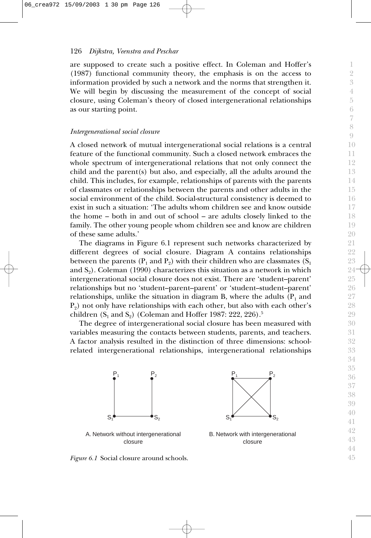are supposed to create such a positive effect. In Coleman and Hoffer's (1987) functional community theory, the emphasis is on the access to information provided by such a network and the norms that strengthen it. We will begin by discussing the measurement of the concept of social closure, using Coleman's theory of closed intergenerational relationships as our starting point.

#### *Intergenerational social closure*

A closed network of mutual intergenerational social relations is a central feature of the functional community. Such a closed network embraces the whole spectrum of intergenerational relations that not only connect the child and the parent(s) but also, and especially, all the adults around the child. This includes, for example, relationships of parents with the parents of classmates or relationships between the parents and other adults in the social environment of the child. Social-structural consistency is deemed to exist in such a situation: 'The adults whom children see and know outside the home – both in and out of school – are adults closely linked to the family. The other young people whom children see and know are children of these same adults.'

The diagrams in Figure 6.1 represent such networks characterized by different degrees of social closure. Diagram A contains relationships between the parents ( $P_1$  and  $P_2$ ) with their children who are classmates ( $S_1$ ) and  $S_2$ ). Coleman (1990) characterizes this situation as a network in which intergenerational social closure does not exist. There are 'student–parent' relationships but no 'student–parent–parent' or 'student–student–parent' relationships, unlike the situation in diagram B, where the adults  $(P_1$  and  $P_2$ ) not only have relationships with each other, but also with each other's children  $(S_1 \text{ and } S_2)$  (Coleman and Hoffer 1987: 222, 226).<sup>5</sup>

The degree of intergenerational social closure has been measured with variables measuring the contacts between students, parents, and teachers. A factor analysis resulted in the distinction of three dimensions: schoolrelated intergenerational relationships, intergenerational relationships





A. Network without intergenerational closure

B. Network with intergenerational closure

*Figure 6.1* Social closure around schools.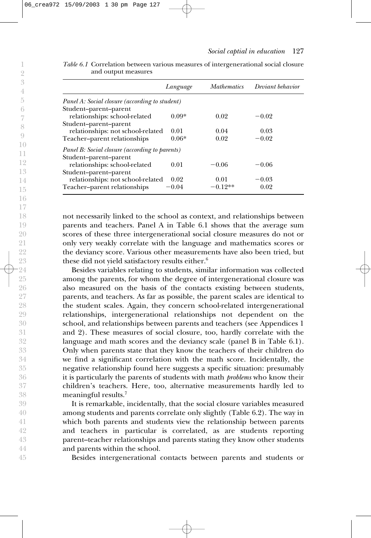#### *Social captial in education* 127

|                                                | Language | <b>Mathematics</b> | Deviant behavior |
|------------------------------------------------|----------|--------------------|------------------|
| Panel A: Social closure (according to student) |          |                    |                  |
| Student-parent-parent                          |          |                    |                  |
| relationships: school-related                  | $0.09*$  | 0.02               | $-0.02$          |
| Student-parent-parent                          |          |                    |                  |
| relationships: not school-related              | 0.01     | 0.04               | 0.03             |
| Teacher-parent relationships                   | $0.06*$  | 0.02               | $-0.02$          |
| Panel B: Social closure (according to parents) |          |                    |                  |
| Student-parent-parent                          |          |                    |                  |
| relationships: school-related                  | 0.01     | $-0.06$            | $-0.06$          |
| Student-parent-parent                          |          |                    |                  |
| relationships: not school-related              | 0.02     | 0.01               | $-0.03$          |
| Teacher-parent relationships                   | $-0.04$  | $-0.12**$          | 0.02             |

*Table 6.1* Correlation between various measures of intergenerational social closure and output measures

not necessarily linked to the school as context, and relationships between parents and teachers. Panel A in Table 6.1 shows that the average sum scores of these three intergenerational social closure measures do not or only very weakly correlate with the language and mathematics scores or the deviancy score. Various other measurements have also been tried, but these did not yield satisfactory results either.<sup>6</sup>

Besides variables relating to students, similar information was collected among the parents, for whom the degree of intergenerational closure was also measured on the basis of the contacts existing between students, parents, and teachers. As far as possible, the parent scales are identical to the student scales. Again, they concern school-related intergenerational relationships, intergenerational relationships not dependent on the school, and relationships between parents and teachers (see Appendices 1 and 2). These measures of social closure, too, hardly correlate with the language and math scores and the deviancy scale (panel B in Table 6.1). Only when parents state that they know the teachers of their children do we find a significant correlation with the math score. Incidentally, the negative relationship found here suggests a specific situation: presumably it is particularly the parents of students with math *problems* who know their children's teachers. Here, too, alternative measurements hardly led to meaningful results.7

It is remarkable, incidentally, that the social closure variables measured among students and parents correlate only slightly (Table 6.2). The way in which both parents and students view the relationship between parents and teachers in particular is correlated, as are students reporting parent–teacher relationships and parents stating they know other students and parents within the school.

Besides intergenerational contacts between parents and students or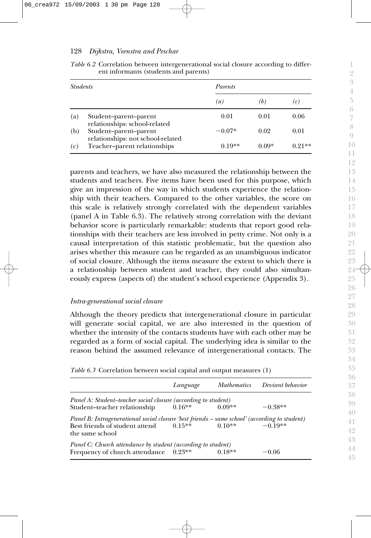| <b>Students</b> |                                                            | Parents          |         |          |  |
|-----------------|------------------------------------------------------------|------------------|---------|----------|--|
|                 |                                                            | $\left(a\right)$ | (b)     | (c)      |  |
| (a)             | Student-parent-parent<br>relationships: school-related     | 0.01             | 0.01    | 0.06     |  |
| (b)             | Student-parent-parent<br>relationships: not school-related | $-0.07*$         | 0.02    | 0.01     |  |
| (c)             | Teacher-parent relationships                               | $0.19**$         | $0.09*$ | $0.21**$ |  |

*Table 6.2* Correlation between intergenerational social closure according to different informants (students and parents)

parents and teachers, we have also measured the relationship between the students and teachers. Five items have been used for this purpose, which give an impression of the way in which students experience the relationship with their teachers. Compared to the other variables, the score on this scale is relatively strongly correlated with the dependent variables (panel A in Table 6.3). The relatively strong correlation with the deviant behavior score is particularly remarkable: students that report good relationships with their teachers are less involved in petty crime. Not only is a causal interpretation of this statistic problematic, but the question also arises whether this measure can be regarded as an unambiguous indicator of social closure. Although the items measure the extent to which there is a relationship between student and teacher, they could also simultaneously express (aspects of) the student's school experience (Appendix 3).

#### *Intra-generational social closure*

Although the theory predicts that intergenerational closure in particular will generate social capital, we are also interested in the question of whether the intensity of the contacts students have with each other may be regarded as a form of social capital. The underlying idea is similar to the reason behind the assumed relevance of intergenerational contacts. The

*Table 6.3* Correlation between social capital and output measures (1)

|                                                                                               | Language | <i>Mathematics</i> | Deviant behavior |
|-----------------------------------------------------------------------------------------------|----------|--------------------|------------------|
| Panel A: Student-teacher social closure (according to student)                                |          |                    |                  |
| Student-teacher relationship                                                                  | $0.16**$ | $0.09**$           | $-0.38**$        |
| Panel B: Intragenerational social closure 'best friends – same school' (according to student) |          |                    |                  |
| Best friends of student attend<br>the same school                                             | $0.15**$ | $0.10**$           | $-0.19**$        |
| Panel C: Church attendance by student (according to student)                                  |          |                    |                  |
| Frequency of church attendance                                                                | $0.23**$ | $0.18**$           | $-0.06$          |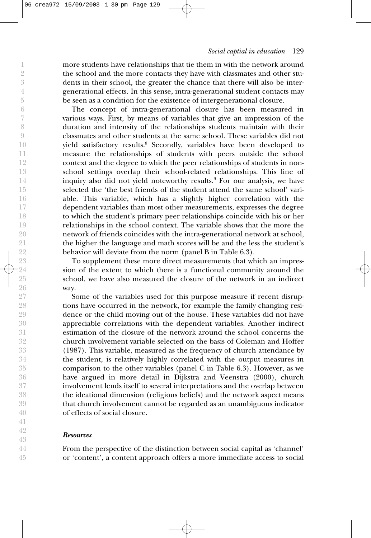#### *Social captial in education* 129

more students have relationships that tie them in with the network around the school and the more contacts they have with classmates and other students in their school, the greater the chance that there will also be intergenerational effects. In this sense, intra-generational student contacts may be seen as a condition for the existence of intergenerational closure.

The concept of intra-generational closure has been measured in various ways. First, by means of variables that give an impression of the duration and intensity of the relationships students maintain with their classmates and other students at the same school. These variables did not yield satisfactory results.8 Secondly, variables have been developed to measure the relationships of students with peers outside the school context and the degree to which the peer relationships of students in nonschool settings overlap their school-related relationships. This line of inquiry also did not yield noteworthy results.<sup>9</sup> For our analysis, we have selected the 'the best friends of the student attend the same school' variable. This variable, which has a slightly higher correlation with the dependent variables than most other measurements, expresses the degree to which the student's primary peer relationships coincide with his or her relationships in the school context. The variable shows that the more the network of friends coincides with the intra-generational network at school, the higher the language and math scores will be and the less the student's behavior will deviate from the norm (panel B in Table 6.3).

To supplement these more direct measurements that which an impression of the extent to which there is a functional community around the school, we have also measured the closure of the network in an indirect way.

Some of the variables used for this purpose measure if recent disruptions have occurred in the network, for example the family changing residence or the child moving out of the house. These variables did not have appreciable correlations with the dependent variables. Another indirect estimation of the closure of the network around the school concerns the church involvement variable selected on the basis of Coleman and Hoffer (1987). This variable, measured as the frequency of church attendance by the student, is relatively highly correlated with the output measures in comparison to the other variables (panel C in Table 6.3). However, as we have argued in more detail in Dijkstra and Veenstra (2000), church involvement lends itself to several interpretations and the overlap between the ideational dimension (religious beliefs) and the network aspect means that church involvement cannot be regarded as an unambiguous indicator of effects of social closure.

#### *Resources*

From the perspective of the distinction between social capital as 'channel' or 'content', a content approach offers a more immediate access to social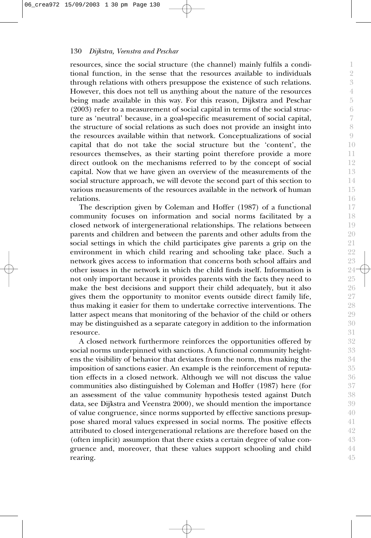resources, since the social structure (the channel) mainly fulfils a conditional function, in the sense that the resources available to individuals through relations with others presuppose the existence of such relations. However, this does not tell us anything about the nature of the resources being made available in this way. For this reason, Dijkstra and Peschar (2003) refer to a measurement of social capital in terms of the social structure as 'neutral' because, in a goal-specific measurement of social capital, the structure of social relations as such does not provide an insight into the resources available within that network. Conceptualizations of social capital that do not take the social structure but the 'content', the resources themselves, as their starting point therefore provide a more direct outlook on the mechanisms referred to by the concept of social capital. Now that we have given an overview of the measurements of the social structure approach, we will devote the second part of this section to various measurements of the resources available in the network of human relations.

The description given by Coleman and Hoffer (1987) of a functional community focuses on information and social norms facilitated by a closed network of intergenerational relationships. The relations between parents and children and between the parents and other adults from the social settings in which the child participates give parents a grip on the environment in which child rearing and schooling take place. Such a network gives access to information that concerns both school affairs and other issues in the network in which the child finds itself. Information is not only important because it provides parents with the facts they need to make the best decisions and support their child adequately, but it also gives them the opportunity to monitor events outside direct family life, thus making it easier for them to undertake corrective interventions. The latter aspect means that monitoring of the behavior of the child or others may be distinguished as a separate category in addition to the information resource.

A closed network furthermore reinforces the opportunities offered by social norms underpinned with sanctions. A functional community heightens the visibility of behavior that deviates from the norm, thus making the imposition of sanctions easier. An example is the reinforcement of reputation effects in a closed network. Although we will not discuss the value communities also distinguished by Coleman and Hoffer (1987) here (for an assessment of the value community hypothesis tested against Dutch data, see Dijkstra and Veenstra 2000), we should mention the importance of value congruence, since norms supported by effective sanctions presuppose shared moral values expressed in social norms. The positive effects attributed to closed intergenerational relations are therefore based on the (often implicit) assumption that there exists a certain degree of value congruence and, moreover, that these values support schooling and child rearing.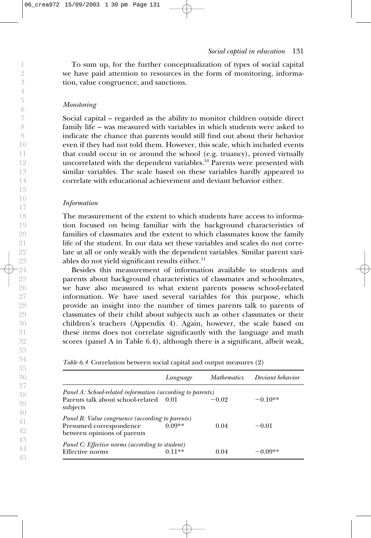#### *Social captial in education* 131

To sum up, for the further conceptualization of types of social capital we have paid attention to resources in the form of monitoring, information, value congruence, and sanctions.

#### *Monitoring*

Social capital – regarded as the ability to monitor children outside direct family life – was measured with variables in which students were asked to indicate the chance that parents would still find out about their behavior even if they had not told them. However, this scale, which included events that could occur in or around the school (e.g. truancy), proved virtually uncorrelated with the dependent variables.<sup>10</sup> Parents were presented with similar variables. The scale based on these variables hardly appeared to correlate with educational achievement and deviant behavior either.

#### *Information*

The measurement of the extent to which students have access to information focused on being familiar with the background characteristics of families of classmates and the extent to which classmates know the family life of the student. In our data set these variables and scales do not correlate at all or only weakly with the dependent variables. Similar parent variables do not yield significant results either. $^{11}$ 

Besides this measurement of information available to students and parents about background characteristics of classmates and schoolmates, we have also measured to what extent parents possess school-related information. We have used several variables for this purpose, which provide an insight into the number of times parents talk to parents of classmates of their child about subjects such as other classmates or their children's teachers (Appendix 4). Again, however, the scale based on these items does not correlate significantly with the language and math scores (panel A in Table 6.4), although there is a significant, albeit weak,

|  |  |  | <i>Table 6.4</i> Correlation between social capital and output measures (2) |  |
|--|--|--|-----------------------------------------------------------------------------|--|
|--|--|--|-----------------------------------------------------------------------------|--|

|                                                                                                                  | Language | <i>Mathematics</i> | Deviant behavior |
|------------------------------------------------------------------------------------------------------------------|----------|--------------------|------------------|
| Panel A: School-related information (according to parents)<br>Parents talk about school-related 0.01<br>subjects |          | $-0.02$            | $-0.10**$        |
| Panel B: Value congruence (according to parents)<br>Presumed correspondence<br>between opinions of parents       | $0.09**$ | 0.04               | $-0.01$          |
| Panel C: Effective norms (according to student)<br>Effective norms                                               | $0.11**$ | 0.04               | $-0.09**$        |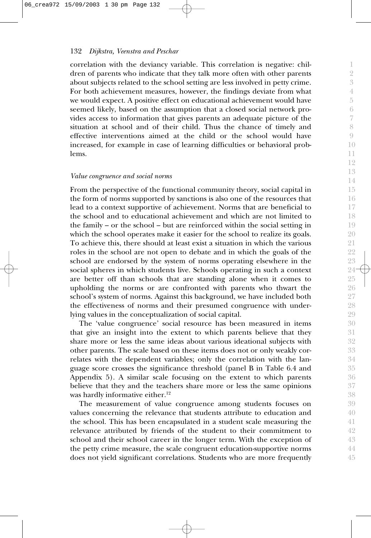correlation with the deviancy variable. This correlation is negative: children of parents who indicate that they talk more often with other parents about subjects related to the school setting are less involved in petty crime. For both achievement measures, however, the findings deviate from what we would expect. A positive effect on educational achievement would have seemed likely, based on the assumption that a closed social network provides access to information that gives parents an adequate picture of the situation at school and of their child. Thus the chance of timely and effective interventions aimed at the child or the school would have increased, for example in case of learning difficulties or behavioral problems.

#### *Value congruence and social norms*

From the perspective of the functional community theory, social capital in the form of norms supported by sanctions is also one of the resources that lead to a context supportive of achievement. Norms that are beneficial to the school and to educational achievement and which are not limited to the family – or the school – but are reinforced within the social setting in which the school operates make it easier for the school to realize its goals. To achieve this, there should at least exist a situation in which the various roles in the school are not open to debate and in which the goals of the school are endorsed by the system of norms operating elsewhere in the social spheres in which students live. Schools operating in such a context are better off than schools that are standing alone when it comes to upholding the norms or are confronted with parents who thwart the school's system of norms. Against this background, we have included both the effectiveness of norms and their presumed congruence with underlying values in the conceptualization of social capital.

The 'value congruence' social resource has been measured in items that give an insight into the extent to which parents believe that they share more or less the same ideas about various ideational subjects with other parents. The scale based on these items does not or only weakly correlates with the dependent variables; only the correlation with the language score crosses the significance threshold (panel B in Table 6.4 and Appendix 5). A similar scale focusing on the extent to which parents believe that they and the teachers share more or less the same opinions was hardly informative either.<sup>12</sup>

The measurement of value congruence among students focuses on values concerning the relevance that students attribute to education and the school. This has been encapsulated in a student scale measuring the relevance attributed by friends of the student to their commitment to school and their school career in the longer term. With the exception of the petty crime measure, the scale congruent education-supportive norms does not yield significant correlations. Students who are more frequently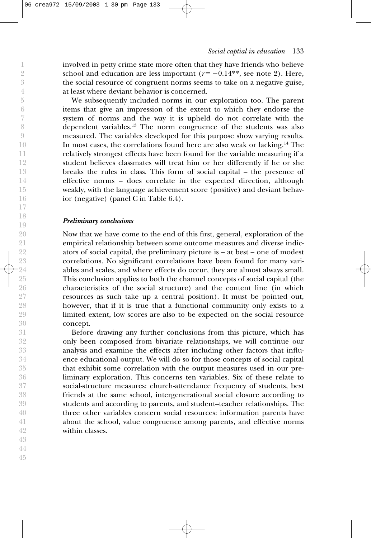#### *Social captial in education* 133

involved in petty crime state more often that they have friends who believe school and education are less important  $(r = -0.14**)$ , see note 2). Here, the social resource of congruent norms seems to take on a negative guise, at least where deviant behavior is concerned.

We subsequently included norms in our exploration too. The parent items that give an impression of the extent to which they endorse the system of norms and the way it is upheld do not correlate with the dependent variables.13 The norm congruence of the students was also measured. The variables developed for this purpose show varying results. In most cases, the correlations found here are also weak or lacking.14 The relatively strongest effects have been found for the variable measuring if a student believes classmates will treat him or her differently if he or she breaks the rules in class. This form of social capital – the presence of effective norms – does correlate in the expected direction, although weakly, with the language achievement score (positive) and deviant behavior (negative) (panel C in Table 6.4).

#### *Preliminary conclusions*

Now that we have come to the end of this first, general, exploration of the empirical relationship between some outcome measures and diverse indicators of social capital, the preliminary picture is – at best – one of modest correlations. No significant correlations have been found for many variables and scales, and where effects do occur, they are almost always small. This conclusion applies to both the channel concepts of social capital (the characteristics of the social structure) and the content line (in which resources as such take up a central position). It must be pointed out, however, that if it is true that a functional community only exists to a limited extent, low scores are also to be expected on the social resource concept.

Before drawing any further conclusions from this picture, which has only been composed from bivariate relationships, we will continue our analysis and examine the effects after including other factors that influence educational output. We will do so for those concepts of social capital that exhibit some correlation with the output measures used in our preliminary exploration. This concerns ten variables. Six of these relate to social-structure measures: church-attendance frequency of students, best friends at the same school, intergenerational social closure according to students and according to parents, and student–teacher relationships. The three other variables concern social resources: information parents have about the school, value congruence among parents, and effective norms within classes.

43 44 45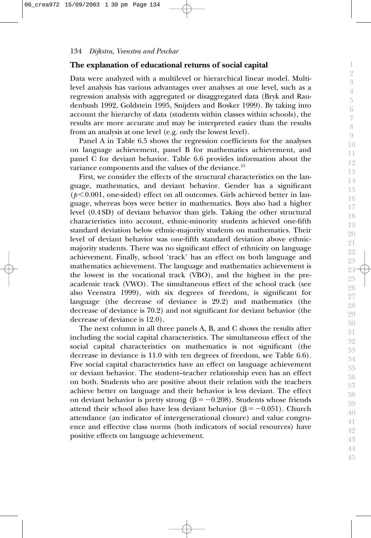# **The explanation of educational returns of social capital**

Data were analyzed with a multilevel or hierarchical linear model. Multilevel analysis has various advantages over analyses at one level, such as a regression analysis with aggregated or disaggregated data (Bryk and Raudenbush 1992, Goldstein 1995, Snijders and Bosker 1999). By taking into account the hierarchy of data (students within classes within schools), the results are more accurate and may be interpreted easier than the results from an analysis at one level (e.g. only the lowest level).

Panel A in Table 6.5 shows the regression coefficients for the analyses on language achievement, panel B for mathematics achievement, and panel C for deviant behavior. Table 6.6 provides information about the variance components and the values of the deviance.<sup>15</sup>

First, we consider the effects of the structural characteristics on the language, mathematics, and deviant behavior. Gender has a significant  $(p<0.001$ , one-sided) effect on all outcomes. Girls achieved better in language, whereas boys were better in mathematics. Boys also had a higher level (0.4SD) of deviant behavior than girls. Taking the other structural characteristics into account, ethnic-minority students achieved one-fifth standard deviation below ethnic-majority students on mathematics. Their level of deviant behavior was one-fifth standard deviation above ethnicmajority students. There was no significant effect of ethnicity on language achievement. Finally, school 'track' has an effect on both language and mathematics achievement. The language and mathematics achievement is the lowest in the vocational track (VBO), and the highest in the preacademic track (VWO). The simultaneous effect of the school track (see also Veenstra 1999), with six degrees of freedom, is significant for language (the decrease of deviance is 29.2) and mathematics (the decrease of deviance is 70.2) and not significant for deviant behavior (the decrease of deviance is 12.0).

The next column in all three panels A, B, and C shows the results after including the social capital characteristics. The simultaneous effect of the social capital characteristics on mathematics is not significant (the decrease in deviance is 11.0 with ten degrees of freedom, see Table 6.6). Five social capital characteristics have an effect on language achievement or deviant behavior. The student–teacher relationship even has an effect on both. Students who are positive about their relation with the teachers achieve better on language and their behavior is less deviant. The effect on deviant behavior is pretty strong ( $\beta = -0.208$ ). Students whose friends attend their school also have less deviant behavior ( $\beta = -0.051$ ). Church attendance (an indicator of intergenerational closure) and value congruence and effective class norms (both indicators of social resources) have positive effects on language achievement.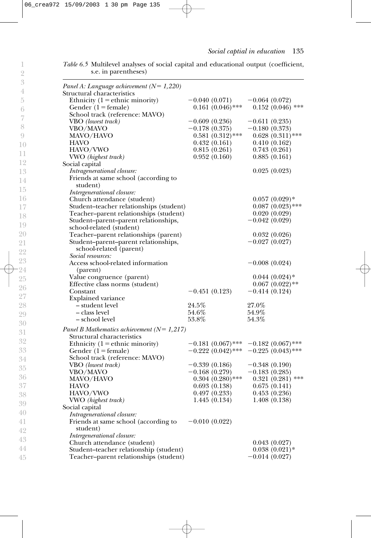| Panel A: Language achievement ( $N=1,220$ )<br>Structural characteristics |       |                                         |       |                     |  |
|---------------------------------------------------------------------------|-------|-----------------------------------------|-------|---------------------|--|
| Ethnicity $(1 = \text{ethnic minority})$                                  |       | $-0.040(0.071)$                         |       | $-0.064(0.072)$     |  |
| Gender $(1 = \text{female})$                                              |       | $0.161(0.046)$ ***                      |       | $0.152(0.046)$ ***  |  |
| School track (reference: MAVO)                                            |       |                                         |       |                     |  |
| VBO (lowest track)                                                        |       | $-0.609(0.236)$                         |       | $-0.611(0.235)$     |  |
|                                                                           |       |                                         |       |                     |  |
| VBO/MAVO                                                                  |       | $-0.178(0.375)$                         |       | $-0.180(0.373)$     |  |
| MAVO/HAVO                                                                 |       | $0.581(0.312)$ ***                      |       | $0.628(0.311)$ ***  |  |
| <b>HAVO</b>                                                               |       | 0.432(0.161)                            |       | 0.410(0.162)        |  |
| HAVO/VWO                                                                  |       | 0.815(0.261)                            |       | 0.743(0.261)        |  |
| VWO (highest track)                                                       |       | 0.952(0.160)                            |       | 0.885(0.161)        |  |
| Social capital                                                            |       |                                         |       |                     |  |
| Intragenerational closure:                                                |       |                                         |       | 0.025(0.023)        |  |
| Friends at same school (according to                                      |       |                                         |       |                     |  |
| student)                                                                  |       |                                         |       |                     |  |
| Intergenerational closure:                                                |       |                                         |       |                     |  |
| Church attendance (student)                                               |       |                                         |       | $0.057(0.029)*$     |  |
| Student-teacher relationships (student)                                   |       |                                         |       | $0.087~(0.023)$ *** |  |
| Teacher-parent relationships (student)                                    |       |                                         |       | 0.020(0.029)        |  |
| Student-parent-parent relationships,                                      |       |                                         |       | $-0.042(0.029)$     |  |
| school-related (student)                                                  |       |                                         |       |                     |  |
| Teacher-parent relationships (parent)                                     |       |                                         |       | 0.032(0.026)        |  |
| Student-parent-parent relationships,                                      |       |                                         |       | $-0.027(0.027)$     |  |
| school-related (parent)                                                   |       |                                         |       |                     |  |
| Social resources:                                                         |       |                                         |       |                     |  |
| Access school-related information                                         |       |                                         |       | $-0.008(0.024)$     |  |
| (parent)                                                                  |       |                                         |       |                     |  |
| Value congruence (parent)                                                 |       |                                         |       | $0.044~(0.024)*$    |  |
| Effective class norms (student)                                           |       |                                         |       | $0.067(0.022)$ **   |  |
| Constant                                                                  |       | $-0.451(0.123)$                         |       | $-0.414(0.124)$     |  |
| Explained variance                                                        |       |                                         |       |                     |  |
| - student level                                                           | 24.5% |                                         | 27.0% |                     |  |
| – class level                                                             | 54.6% |                                         | 54.9% |                     |  |
| – school level                                                            | 53.8% |                                         | 54.3% |                     |  |
|                                                                           |       |                                         |       |                     |  |
| Panel B Mathematics achievement $(N=1,217)$                               |       |                                         |       |                     |  |
| Structural characteristics                                                |       |                                         |       |                     |  |
| Ethnicity $(1 = \text{ethnic minority})$                                  |       | $-0.181(0.067)$ *** $-0.182(0.067)$ *** |       |                     |  |
| Gender $(1 = \text{female})$                                              |       | $-0.222(0.042)$ ***                     |       | $-0.225(0.043)$ *** |  |
| School track (reference: MAVO)                                            |       |                                         |       |                     |  |
| VBO (lowest track)                                                        |       | $-0.339(0.186)$                         |       | $-0.348(0.190)$     |  |
| VBO/MAVO                                                                  |       | $-0.168(0.279)$                         |       | $-0.183(0.285)$     |  |
| MAVO/HAVO                                                                 |       | $0.304~(0.280)$ ***                     |       | $0.321(0.281)$ ***  |  |
| <b>HAVO</b>                                                               |       | 0.693(0.138)                            |       | 0.675(0.141)        |  |
| HAVO/VWO                                                                  |       | 0.497(0.233)                            |       | 0.453(0.236)        |  |
| VWO (highest track)                                                       |       | 1.445(0.134)                            |       | 1.408(0.138)        |  |
| Social capital                                                            |       |                                         |       |                     |  |
| Intragenerational closure:                                                |       |                                         |       |                     |  |
| Friends at same school (according to                                      |       | $-0.010(0.022)$                         |       |                     |  |
| student)                                                                  |       |                                         |       |                     |  |
| Intergenerational closure:                                                |       |                                         |       |                     |  |
| Church attendance (student)                                               |       |                                         |       | 0.043(0.027)        |  |
| Student-teacher relationship (student)                                    |       |                                         |       | $0.038(0.021)*$     |  |
| Teacher-parent relationships (student)                                    |       |                                         |       | $-0.014(0.027)$     |  |
|                                                                           |       |                                         |       |                     |  |

*Table 6.5* Multilevel analyses of social capital and educational output (coefficient, s.e. in parentheses)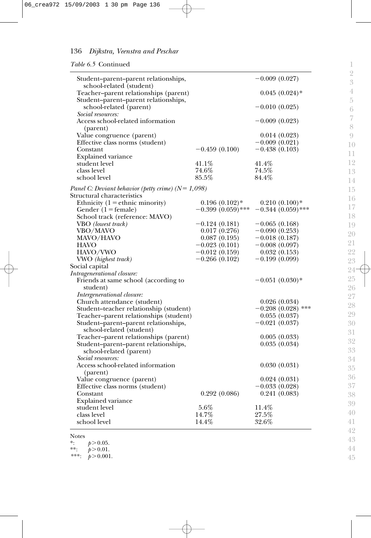*Table 6.5* Continued

| Student–parent–parent relationships,                              |                     | $-0.009(0.027)$     |
|-------------------------------------------------------------------|---------------------|---------------------|
| school-related (student)<br>Teacher-parent relationships (parent) |                     | $0.045(0.024)$ *    |
| Student-parent-parent relationships,<br>school-related (parent)   |                     | $-0.010(0.025)$     |
| Social resources:<br>Access school-related information            |                     | $-0.009(0.023)$     |
| (parent)<br>Value congruence (parent)                             |                     | 0.014(0.023)        |
| Effective class norms (student)                                   |                     | $-0.009(0.021)$     |
| Constant                                                          | $-0.459(0.100)$     | $-0.438(0.103)$     |
| <b>Explained</b> variance                                         |                     |                     |
| student level                                                     | $41.1\%$            | 41.4%               |
| class level                                                       | 74.6%               | $74.5\%$            |
| school level                                                      | 85.5%               | 84.4%               |
| Panel C: Deviant behavior (petty crime) $(N=1,098)$               |                     |                     |
| Structural characteristics                                        |                     |                     |
| Ethnicity $(1 = \text{ethnic minority})$                          | $0.196(0.102)$ *    | $0.210(0.100)*$     |
| Gender $(1 = \text{female})$                                      | $-0.399(0.059)$ *** | $-0.344(0.059)$ *** |
| School track (reference: MAVO)                                    |                     |                     |
| VBO (lowest track)                                                | $-0.124(0.181)$     | $-0.065(0.168)$     |
| VBO/MAVO                                                          | 0.017(0.276)        | $-0.090(0.253)$     |
| MAVO/HAVO                                                         | 0.087(0.195)        | $-0.018(0.187)$     |
| <b>HAVO</b>                                                       | $-0.023(0.101)$     | $-0.008(0.097)$     |
| HAVO/VWO                                                          | $-0.012(0.159)$     | 0.032(0.153)        |
| VWO (highest track)                                               | $-0.266(0.102)$     | $-0.199(0.099)$     |
| Social capital                                                    |                     |                     |
| Intragenerational closure:                                        |                     |                     |
| Friends at same school (according to                              |                     | $-0.051(0.030)*$    |
| student)                                                          |                     |                     |
| Intergenerational closure:                                        |                     |                     |
| Church attendance (student)                                       |                     | 0.026(0.034)        |
| Student-teacher relationship (student)                            |                     | $-0.208(0.028)$ *** |
| Teacher-parent relationships (student)                            |                     | 0.055(0.037)        |
| Student-parent-parent relationships,<br>school-related (student)  |                     | $-0.021(0.037)$     |
| Teacher-parent relationships (parent)                             |                     | 0.005(0.033)        |
| Student-parent-parent relationships,<br>school-related (parent)   |                     | 0.035(0.034)        |
| <i>Social resources:</i>                                          |                     |                     |
| Access school-related information<br>(parent)                     |                     | 0.030(0.031)        |
| Value congruence (parent)                                         |                     | 0.024(0.031)        |
| Effective class norms (student)                                   |                     | $-0.033(0.028)$     |
| Constant                                                          | 0.292(0.086)        | 0.241(0.083)        |
| Explained variance                                                |                     |                     |
| student level                                                     | $5.6\%$             | 11.4%               |
| class level                                                       | 14.7%               | 27.5%               |
| school level                                                      | 14.4%               | 32.6%               |

Notes

\*:  $p > 0.05$ .<br>\*\*:  $p > 0.01$ .

\*\*:  $p > 0.01$ .

\*\*\*:  $p > 0.001$ .

43 44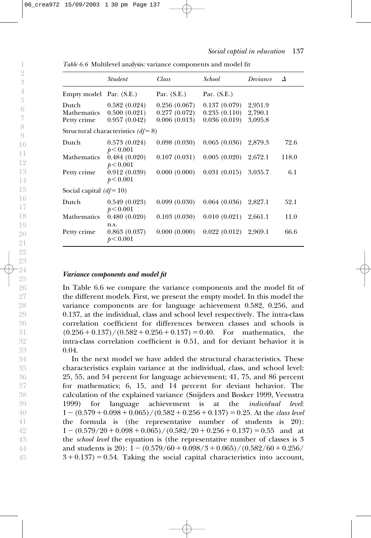#### *Social captial in education* 137

|                                     | <i><u><b>Student</b></u></i>                 | Class                                        | <b>School</b>                                | Deviance                      | Δ     |
|-------------------------------------|----------------------------------------------|----------------------------------------------|----------------------------------------------|-------------------------------|-------|
| Empty model Par. (S.E.)             |                                              | Par. $(S.E.)$                                | Par. $(S.E.)$                                |                               |       |
| Dutch<br>Mathematics<br>Petty crime | 0.582(0.024)<br>0.500(0.021)<br>0.957(0.042) | 0.256(0.067)<br>0.277(0.072)<br>0.006(0.013) | 0.137(0.079)<br>0.235(0.110)<br>0.036(0.019) | 2,951.9<br>2,790.1<br>3,095.8 |       |
|                                     | Structural characteristics $(df=8)$          |                                              |                                              |                               |       |
| Dutch                               | 0.573(0.024)<br>p < 0.001                    | 0.098(0.030)                                 | 0.065(0.036)                                 | 2,879.3                       | 72.6  |
| Mathematics                         | 0.484(0.020)<br>p < 0.001                    | 0.107(0.031)                                 | 0.005(0.020)                                 | 2,672.1                       | 118.0 |
| Petty crime                         | 0.912(0.039)<br>p < 0.001                    | 0.000(0.000)                                 | 0.031(0.015)                                 | 3,035.7                       | 6.1   |
| Social capital $(df=10)$            |                                              |                                              |                                              |                               |       |
| Dutch                               | 0.549(0.023)<br>p < 0.001                    | 0.099(0.030)                                 | 0.064(0.036)                                 | 2,827.1                       | 52.1  |
| Mathematics                         | 0.480(0.020)<br>n.s.                         | 0.103(0.030)                                 | 0.010(0.021)                                 | 2,661.1                       | 11.0  |
| Petty crime                         | 0.863(0.037)<br>p < 0.001                    | 0.000(0.000)                                 | 0.022(0.012)                                 | 2,969.1                       | 66.6  |

#### *Table 6.6* Multilevel analysis: variance components and model fit

#### *Variance components and model fit*

In Table 6.6 we compare the variance components and the model fit of the different models. First, we present the empty model. In this model the variance components are for language achievement 0.582, 0.256, and 0.137, at the individual, class and school level respectively. The intra-class correlation coefficient for differences between classes and schools is  $(0.256 + 0.137)/(0.582 + 0.256 + 0.137) = 0.40$ . For mathematics, the intra-class correlation coefficient is 0.51, and for deviant behavior it is 0.04.

In the next model we have added the structural characteristics. These characteristics explain variance at the individual, class, and school level: 25, 55, and 54 percent for language achievement; 41, 75, and 86 percent for mathematics; 6, 15, and 14 percent for deviant behavior. The calculation of the explained variance (Snijders and Bosker 1999, Veenstra 1999) for language achievement is at the *individual level*:  $1 - (0.579 + 0.098 + 0.065) / (0.582 + 0.256 + 0.137) = 0.25$ . At the *class level* the formula is (the representative number of students is 20):  $1 - (0.579/20 + 0.098 + 0.065) / (0.582/20 + 0.256 + 0.137) = 0.55$  and at the *school level* the equation is (the representative number of classes is 3 and students is 20):  $1 - (0.579/60 + 0.098/3 + 0.065)/(0.582/60 + 0.256/$  $3 + 0.137$ ) = 0.54. Taking the social capital characteristics into account,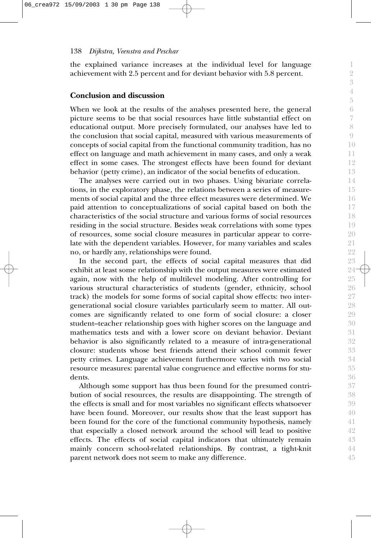the explained variance increases at the individual level for language achievement with 2.5 percent and for deviant behavior with 5.8 percent.

#### **Conclusion and discussion**

When we look at the results of the analyses presented here, the general picture seems to be that social resources have little substantial effect on educational output. More precisely formulated, our analyses have led to the conclusion that social capital, measured with various measurements of concepts of social capital from the functional community tradition, has no effect on language and math achievement in many cases, and only a weak effect in some cases. The strongest effects have been found for deviant behavior (petty crime), an indicator of the social benefits of education.

The analyses were carried out in two phases. Using bivariate correlations, in the exploratory phase, the relations between a series of measurements of social capital and the three effect measures were determined. We paid attention to conceptualizations of social capital based on both the characteristics of the social structure and various forms of social resources residing in the social structure. Besides weak correlations with some types of resources, some social closure measures in particular appear to correlate with the dependent variables. However, for many variables and scales no, or hardly any, relationships were found.

In the second part, the effects of social capital measures that did exhibit at least some relationship with the output measures were estimated again, now with the help of multilevel modeling. After controlling for various structural characteristics of students (gender, ethnicity, school track) the models for some forms of social capital show effects: two intergenerational social closure variables particularly seem to matter. All outcomes are significantly related to one form of social closure: a closer student–teacher relationship goes with higher scores on the language and mathematics tests and with a lower score on deviant behavior. Deviant behavior is also significantly related to a measure of intra-generational closure: students whose best friends attend their school commit fewer petty crimes. Language achievement furthermore varies with two social resource measures: parental value congruence and effective norms for students.

Although some support has thus been found for the presumed contribution of social resources, the results are disappointing. The strength of the effects is small and for most variables no significant effects whatsoever have been found. Moreover, our results show that the least support has been found for the core of the functional community hypothesis, namely that especially a closed network around the school will lead to positive effects. The effects of social capital indicators that ultimately remain mainly concern school-related relationships. By contrast, a tight-knit parent network does not seem to make any difference.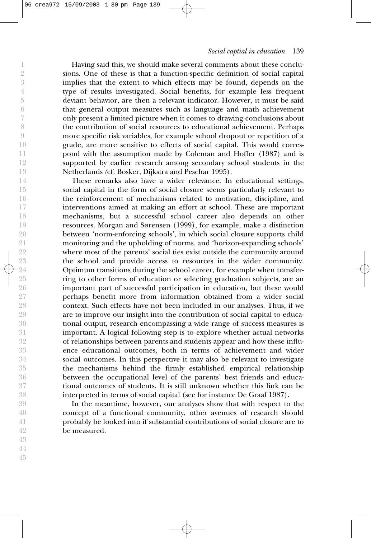#### *Social captial in education* 139

Having said this, we should make several comments about these conclusions. One of these is that a function-specific definition of social capital implies that the extent to which effects may be found, depends on the type of results investigated. Social benefits, for example less frequent deviant behavior, are then a relevant indicator. However, it must be said that general output measures such as language and math achievement only present a limited picture when it comes to drawing conclusions about the contribution of social resources to educational achievement. Perhaps more specific risk variables, for example school dropout or repetition of a grade, are more sensitive to effects of social capital. This would correspond with the assumption made by Coleman and Hoffer (1987) and is supported by earlier research among secondary school students in the Netherlands *(*cf*.* Bosker, Dijkstra and Peschar 1995).

These remarks also have a wider relevance. In educational settings, social capital in the form of social closure seems particularly relevant to the reinforcement of mechanisms related to motivation, discipline, and interventions aimed at making an effort at school. These are important mechanisms, but a successful school career also depends on other resources. Morgan and Sørensen (1999), for example, make a distinction between 'norm-enforcing schools', in which social closure supports child monitoring and the upholding of norms, and 'horizon-expanding schools' where most of the parents' social ties exist outside the community around the school and provide access to resources in the wider community. Optimum transitions during the school career, for example when transferring to other forms of education or selecting graduation subjects, are an important part of successful participation in education, but these would perhaps benefit more from information obtained from a wider social context. Such effects have not been included in our analyses. Thus, if we are to improve our insight into the contribution of social capital to educational output, research encompassing a wide range of success measures is important. A logical following step is to explore whether actual networks of relationships between parents and students appear and how these influence educational outcomes, both in terms of achievement and wider social outcomes. In this perspective it may also be relevant to investigate the mechanisms behind the firmly established empirical relationship between the occupational level of the parents' best friends and educational outcomes of students. It is still unknown whether this link can be interpreted in terms of social capital (see for instance De Graaf 1987).

In the meantime, however, our analyses show that with respect to the concept of a functional community, other avenues of research should probably be looked into if substantial contributions of social closure are to be measured.

43 44 45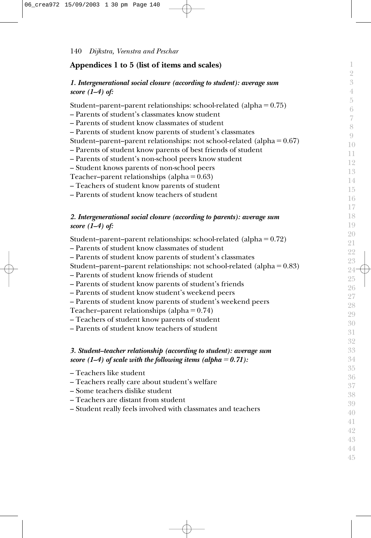| Appendices 1 to 5 (list of items and scales)                                                 | T.                               |
|----------------------------------------------------------------------------------------------|----------------------------------|
|                                                                                              | $\overline{2}$<br>$\mathfrak{Z}$ |
| 1. Intergenerational social closure (according to student): average sum<br>score $(1-4)$ of: | $\overline{4}$                   |
|                                                                                              | 5                                |
| Student-parent-parent relationships: school-related (alpha = $0.75$ )                        | $\!6\,$                          |
| - Parents of student's classmates know student                                               | 7                                |
| - Parents of student know classmates of student                                              | 8                                |
| - Parents of student know parents of student's classmates                                    | 9                                |
| Student-parent-parent relationships: not school-related (alpha $= 0.67$ )                    | 10                               |
| - Parents of student know parents of best friends of student                                 | 11                               |
| - Parents of student's non-school peers know student                                         | 12                               |
| - Student knows parents of non-school peers                                                  | 13                               |
| Teacher-parent relationships (alpha $= 0.63$ )                                               | 14                               |
| - Teachers of student know parents of student                                                | 15                               |
| - Parents of student know teachers of student                                                | 16                               |
|                                                                                              | 17                               |
| 2. Intergenerational social closure (according to parents): average sum                      | 18                               |
| score $(1-4)$ of:                                                                            | 19                               |
| Student-parent-parent relationships: school-related (alpha = $0.72$ )                        | 20                               |
| - Parents of student know classmates of student                                              | 21                               |
| - Parents of student know parents of student's classmates                                    | 22                               |
| Student-parent-parent relationships: not school-related (alpha $= 0.83$ )                    | 23                               |
| - Parents of student know friends of student                                                 | 24                               |
| - Parents of student know parents of student's friends                                       | 25                               |
| - Parents of student know student's weekend peers                                            | 26                               |
| - Parents of student know parents of student's weekend peers                                 | 27                               |
| Teacher-parent relationships (alpha $= 0.74$ )                                               | 28                               |
| - Teachers of student know parents of student                                                | 29                               |
| - Parents of student know teachers of student                                                | 30                               |
|                                                                                              | 31<br>32                         |
|                                                                                              | 33                               |
| 3. Student-teacher relationship (according to student): average sum                          | 34                               |
| score (1–4) of scale with the following items (alpha = 0.71):                                | 35                               |
| - Teachers like student                                                                      | 36                               |
| - Teachers really care about student's welfare                                               | $37\,$                           |
| – Some teachers dislike student                                                              | 38                               |
| - Teachers are distant from student                                                          | 39                               |
| - Student really feels involved with classmates and teachers                                 | 40                               |
|                                                                                              | 41.                              |
|                                                                                              | 42                               |
|                                                                                              | 43                               |
|                                                                                              | 44                               |
|                                                                                              | 45                               |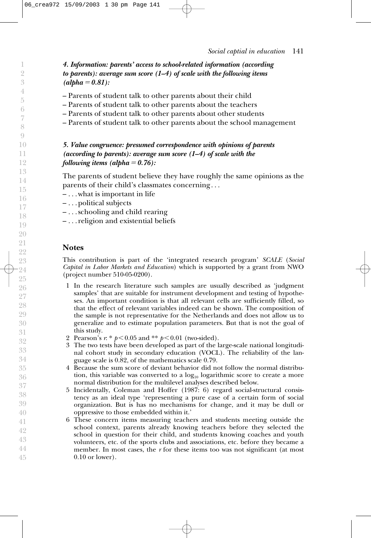#### *Social captial in education* 141

*4. Information: parents' access to school-related information (according to parents): average sum score (1–4) of scale with the following items*  $(alpha = 0.81)$ :

– Parents of student talk to other parents about their child

- Parents of student talk to other parents about the teachers
- Parents of student talk to other parents about other students
- Parents of student talk to other parents about the school management

# *5. Value congruence: presumed correspondence with opinions of parents (according to parents): average sum score (1–4) of scale with the following items (alpha* $= 0.76$ ):

The parents of student believe they have roughly the same opinions as the parents of their child's classmates concerning. . .

- . . .what is important in life
- . . .political subjects
- . . .schooling and child rearing
- . . .religion and existential beliefs

#### **Notes**

This contribution is part of the 'integrated research program' *SCALE* (*Social Capital in Labor Markets and Education*) which is supported by a grant from NWO (project number 510-05-0200).

- 1 In the research literature such samples are usually described as 'judgment samples' that are suitable for instrument development and testing of hypotheses. An important condition is that all relevant cells are sufficiently filled, so that the effect of relevant variables indeed can be shown. The composition of the sample is not representative for the Netherlands and does not allow us to generalize and to estimate population parameters. But that is not the goal of this study.
- 2 Pearson's  $r: p < 0.05$  and  $** p < 0.01$  (two-sided).
- 3 The two tests have been developed as part of the large-scale national longitudinal cohort study in secondary education (VOCL). The reliability of the language scale is 0.82, of the mathematics scale 0.79.
- 4 Because the sum score of deviant behavior did not follow the normal distribution, this variable was converted to a  $log_{10}$  logarithmic score to create a more normal distribution for the multilevel analyses described below.
- 5 Incidentally, Coleman and Hoffer (1987: 6) regard social-structural consistency as an ideal type 'representing a pure case of a certain form of social organization. But is has no mechanisms for change, and it may be dull or oppressive to those embedded within it.'
- 6 These concern items measuring teachers and students meeting outside the school context, parents already knowing teachers before they selected the school in question for their child, and students knowing coaches and youth volunteers, etc. of the sports clubs and associations, etc. before they became a member. In most cases, the *r* for these items too was not significant (at most 0.10 or lower).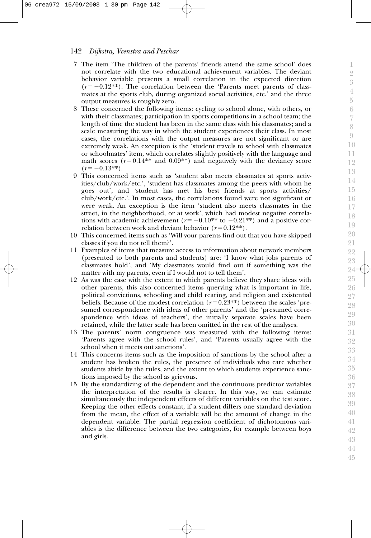- 7 The item 'The children of the parents' friends attend the same school' does not correlate with the two educational achievement variables. The deviant behavior variable presents a small correlation in the expected direction  $(r=-0.12**)$ . The correlation between the 'Parents meet parents of classmates at the sports club, during organized social activities, etc.' and the three output measures is roughly zero.
- 8 These concerned the following items: cycling to school alone, with others, or with their classmates; participation in sports competitions in a school team; the length of time the student has been in the same class with his classmates; and a scale measuring the way in which the student experiences their class. In most cases, the correlations with the output measures are not significant or are extremely weak. An exception is the 'student travels to school with classmates or schoolmates' item, which correlates slightly positively with the language and math scores  $(r=0.14**$  and  $0.09**$ ) and negatively with the deviancy score  $(r = -0.13**).$
- 9 This concerned items such as 'student also meets classmates at sports activities/club/work/etc.', 'student has classmates among the peers with whom he goes out', and 'student has met his best friends at sports activities/ club/work/etc.'. In most cases, the correlations found were not significant or were weak. An exception is the item 'student also meets classmates in the street, in the neighborhood, or at work', which had modest negative correlations with academic achievement  $(r = -0.10^{**}$  to  $-0.21^{**})$  and a positive correlation between work and deviant behavior  $(r=0.12**)$ .
- 10 This concerned items such as 'Will your parents find out that you have skipped classes if you do not tell them?'.
- 11 Examples of items that measure access to information about network members (presented to both parents and students) are: 'I know what jobs parents of classmates hold', and 'My classmates would find out if something was the matter with my parents, even if I would not to tell them'.
- 12 As was the case with the extent to which parents believe they share ideas with other parents, this also concerned items querying what is important in life, political convictions, schooling and child rearing, and religion and existential beliefs. Because of the modest correlation  $(r=0.23^{**})$  between the scales 'presumed correspondence with ideas of other parents' and the 'presumed correspondence with ideas of teachers', the initially separate scales have been retained, while the latter scale has been omitted in the rest of the analyses.
- 13 The parents' norm congruence was measured with the following items: 'Parents agree with the school rules', and 'Parents usually agree with the school when it meets out sanctions'.
- 14 This concerns items such as the imposition of sanctions by the school after a student has broken the rules, the presence of individuals who care whether students abide by the rules, and the extent to which students experience sanctions imposed by the school as grievous.
- 15 By the standardizing of the dependent and the continuous predictor variables the interpretation of the results is clearer. In this way, we can estimate simultaneously the independent effects of different variables on the test score. Keeping the other effects constant, if a student differs one standard deviation from the mean, the effect of a variable will be the amount of change in the dependent variable. The partial regression coefficient of dichotomous variables is the difference between the two categories, for example between boys and girls.
- 1 2 3 4 5 6 7 8 9 10 11 12 13 14 15 16 17 18 19 20 21 22 23 24 25 26 27 28 29 30 31 32 33 34 35 36 37 38 39 40 41 42 43 44 45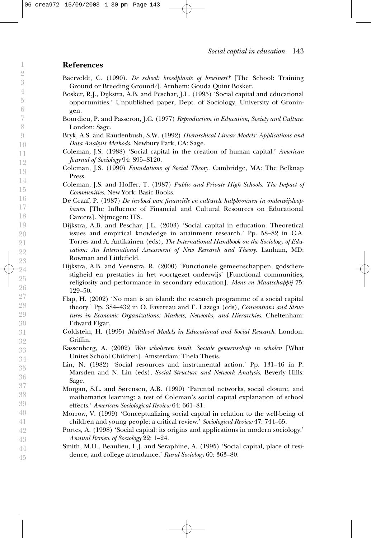#### **References**

- Baerveldt, C. (1990). *De school: broedplaats of broeinest?* [The School: Training Ground or Breeding Ground?]. Arnhem: Gouda Quint Bosker.
- Bosker, R.J., Dijkstra, A.B. and Peschar, J.L. (1995) 'Social capital and educational opportunities.' Unpublished paper, Dept. of Sociology, University of Groningen.
- Bourdieu, P. and Passeron, J.C. (1977) *Reproduction in Education, Society and Culture.* London: Sage.
- Bryk, A.S. and Raudenbush, S.W. (1992) *Hierarchical Linear Models: Applications and Data Analysis Methods*. Newbury Park, CA: Sage.
- Coleman, J.S. (1988) 'Social capital in the creation of human capital.' *American Journal of Sociology* 94: S95–S120.
- Coleman, J.S. (1990) *Foundations of Social Theory.* Cambridge, MA: The Belknap Press.
- Coleman, J.S. and Hoffer, T. (1987) *Public and Private High Schools. The Impact of Communities.* New York: Basic Books.
- De Graaf, P. (1987) *De invloed van financiële en culturele hulpbronnen in onderwijsloopbanen* [The Influence of Financial and Cultural Resources on Educational Careers]. Nijmegen: ITS.
- Dijkstra, A.B. and Peschar, J.L. (2003) 'Social capital in education. Theoretical issues and empirical knowledge in attainment research.' Pp. 58–82 in C.A. Torres and A. Antikainen (eds), *The International Handbook on the Sociology of Education: An International Assessment of New Research and Theory.* Lanham, MD: Rowman and Littlefield.
- Dijkstra, A.B. and Veenstra, R. (2000) 'Functionele gemeenschappen, godsdienstigheid en prestaties in het voortgezet onderwijs' [Functional communities, religiosity and performance in secondary education]. *Mens en Maatschappij* 75: 129–50.
- Flap, H. (2002) 'No man is an island: the research programme of a social capital theory.' Pp. 384–432 in O. Favereau and E. Lazega (eds), *Conventions and Structures in Economic Organizations: Markets, Networks, and Hierarchies.* Cheltenham: Edward Elgar.
- Goldstein, H. (1995) *Multilevel Models in Educational and Social Research*. London: Griffin.
- Kassenberg, A. (2002) *Wat scholieren bindt. Sociale gemeenschap in scholen* [What Unites School Children]. Amsterdam: Thela Thesis.
- Lin, N. (1982) 'Social resources and instrumental action.' Pp. 131–46 in P. Marsden and N. Lin (eds), *Social Structure and Network Analysis*. Beverly Hills: Sage.
- Morgan, S.L. and Sørensen, A.B. (1999) 'Parental networks, social closure, and mathematics learning: a test of Coleman's social capital explanation of school effects.' *American Sociological Review* 64: 661–81.
- Morrow, V. (1999) 'Conceptualizing social capital in relation to the well-being of children and young people: a critical review.' *Sociological Review* 47: 744–65.
- Portes, A. (1998) 'Social capital: its origins and applications in modern sociology.' *Annual Review of Sociology* 22: 1–24.
- Smith, M.H., Beaulieu, L.J. and Seraphine, A. (1995) 'Social capital, place of residence, and college attendance.' *Rural Sociology* 60: 363–80.